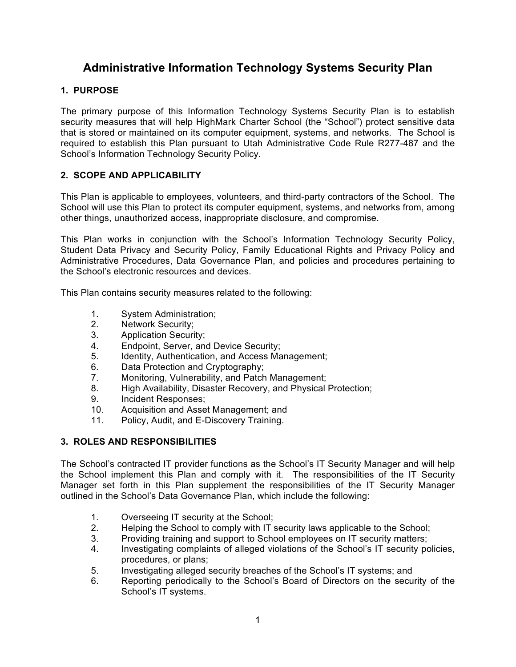# **Administrative Information Technology Systems Security Plan**

## **1. PURPOSE**

The primary purpose of this Information Technology Systems Security Plan is to establish security measures that will help HighMark Charter School (the "School") protect sensitive data that is stored or maintained on its computer equipment, systems, and networks. The School is required to establish this Plan pursuant to Utah Administrative Code Rule R277-487 and the School's Information Technology Security Policy.

### **2. SCOPE AND APPLICABILITY**

This Plan is applicable to employees, volunteers, and third-party contractors of the School. The School will use this Plan to protect its computer equipment, systems, and networks from, among other things, unauthorized access, inappropriate disclosure, and compromise.

This Plan works in conjunction with the School's Information Technology Security Policy, Student Data Privacy and Security Policy, Family Educational Rights and Privacy Policy and Administrative Procedures, Data Governance Plan, and policies and procedures pertaining to the School's electronic resources and devices.

This Plan contains security measures related to the following:

- 1. System Administration;
- 2. Network Security;
- 3. Application Security;
- 4. Endpoint, Server, and Device Security;
- 5. Identity, Authentication, and Access Management;
- 6. Data Protection and Cryptography;
- 7. Monitoring, Vulnerability, and Patch Management;
- 8. High Availability, Disaster Recovery, and Physical Protection;
- 9. Incident Responses;
- 10. Acquisition and Asset Management; and
- 11. Policy, Audit, and E-Discovery Training.

### **3. ROLES AND RESPONSIBILITIES**

The School's contracted IT provider functions as the School's IT Security Manager and will help the School implement this Plan and comply with it. The responsibilities of the IT Security Manager set forth in this Plan supplement the responsibilities of the IT Security Manager outlined in the School's Data Governance Plan, which include the following:

- 1. Overseeing IT security at the School;
- 2. Helping the School to comply with IT security laws applicable to the School;
- 3. Providing training and support to School employees on IT security matters;
- 4. Investigating complaints of alleged violations of the School's IT security policies, procedures, or plans;
- 5. Investigating alleged security breaches of the School's IT systems; and
- 6. Reporting periodically to the School's Board of Directors on the security of the School's IT systems.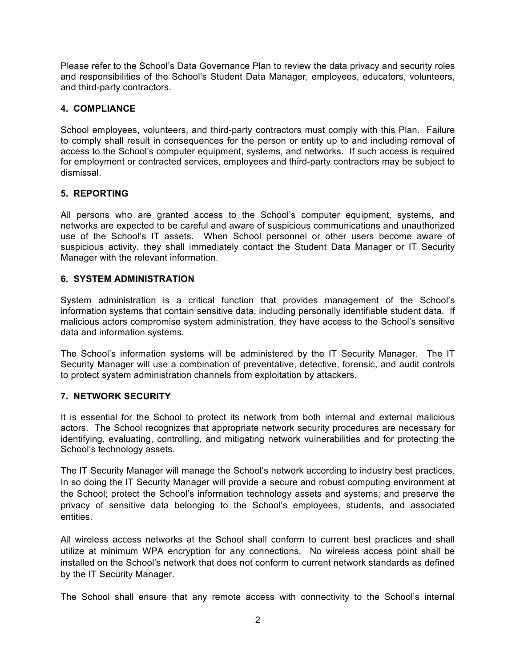Please refer to the School's Data Governance Plan to review the data privacy and security roles and responsibilities of the School's Student Data Manager, employees, educators, volunteers, and third-party contractors.

### **4. COMPLIANCE**

School employees, volunteers, and third-party contractors must comply with this Plan. Failure to comply shall result in consequences for the person or entity up to and including removal of access to the School's computer equipment, systems, and networks. If such access is required for employment or contracted services, employees and third-party contractors may be subject to dismissal.

### **5. REPORTING**

All persons who are granted access to the School's computer equipment, systems, and networks are expected to be careful and aware of suspicious communications and unauthorized use of the School's IT assets. When School personnel or other users become aware of suspicious activity, they shall immediately contact the Student Data Manager or IT Security Manager with the relevant information.

#### **6. SYSTEM ADMINISTRATION**

System administration is a critical function that provides management of the School's information systems that contain sensitive data, including personally identifiable student data. If malicious actors compromise system administration, they have access to the School's sensitive data and information systems.

The School's information systems will be administered by the IT Security Manager. The IT Security Manager will use a combination of preventative, detective, forensic, and audit controls to protect system administration channels from exploitation by attackers.

# **7. NETWORK SECURITY**

It is essential for the School to protect its network from both internal and external malicious actors. The School recognizes that appropriate network security procedures are necessary for identifying, evaluating, controlling, and mitigating network vulnerabilities and for protecting the School's technology assets.

The IT Security Manager will manage the School's network according to industry best practices. In so doing the IT Security Manager will provide a secure and robust computing environment at the School; protect the School's information technology assets and systems; and preserve the privacy of sensitive data belonging to the School's employees, students, and associated entities.

All wireless access networks at the School shall conform to current best practices and shall utilize at minimum WPA encryption for any connections. No wireless access point shall be installed on the School's network that does not conform to current network standards as defined by the IT Security Manager.

The School shall ensure that any remote access with connectivity to the School's internal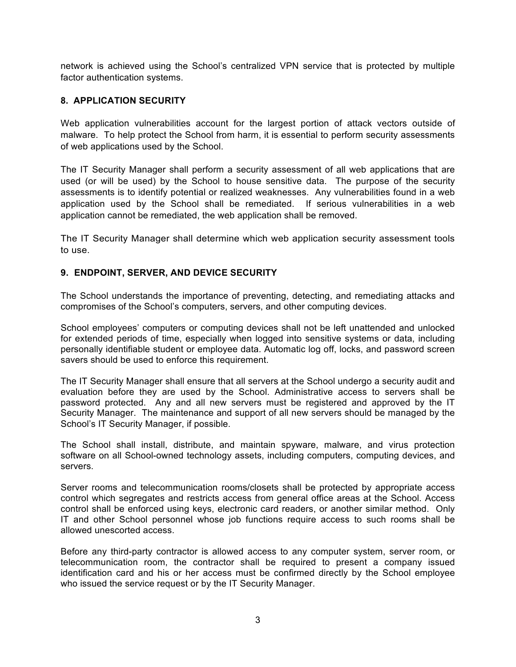network is achieved using the School's centralized VPN service that is protected by multiple factor authentication systems.

### **8. APPLICATION SECURITY**

Web application vulnerabilities account for the largest portion of attack vectors outside of malware. To help protect the School from harm, it is essential to perform security assessments of web applications used by the School.

The IT Security Manager shall perform a security assessment of all web applications that are used (or will be used) by the School to house sensitive data. The purpose of the security assessments is to identify potential or realized weaknesses. Any vulnerabilities found in a web application used by the School shall be remediated. If serious vulnerabilities in a web application cannot be remediated, the web application shall be removed.

The IT Security Manager shall determine which web application security assessment tools to use.

# **9. ENDPOINT, SERVER, AND DEVICE SECURITY**

The School understands the importance of preventing, detecting, and remediating attacks and compromises of the School's computers, servers, and other computing devices.

School employees' computers or computing devices shall not be left unattended and unlocked for extended periods of time, especially when logged into sensitive systems or data, including personally identifiable student or employee data. Automatic log off, locks, and password screen savers should be used to enforce this requirement.

The IT Security Manager shall ensure that all servers at the School undergo a security audit and evaluation before they are used by the School. Administrative access to servers shall be password protected. Any and all new servers must be registered and approved by the IT Security Manager. The maintenance and support of all new servers should be managed by the School's IT Security Manager, if possible.

The School shall install, distribute, and maintain spyware, malware, and virus protection software on all School-owned technology assets, including computers, computing devices, and servers.

Server rooms and telecommunication rooms/closets shall be protected by appropriate access control which segregates and restricts access from general office areas at the School. Access control shall be enforced using keys, electronic card readers, or another similar method. Only IT and other School personnel whose job functions require access to such rooms shall be allowed unescorted access.

Before any third-party contractor is allowed access to any computer system, server room, or telecommunication room, the contractor shall be required to present a company issued identification card and his or her access must be confirmed directly by the School employee who issued the service request or by the IT Security Manager.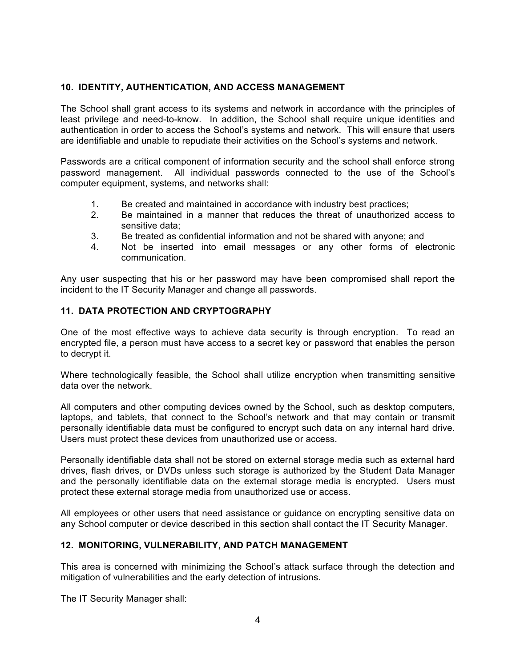## **10. IDENTITY, AUTHENTICATION, AND ACCESS MANAGEMENT**

The School shall grant access to its systems and network in accordance with the principles of least privilege and need-to-know. In addition, the School shall require unique identities and authentication in order to access the School's systems and network. This will ensure that users are identifiable and unable to repudiate their activities on the School's systems and network.

Passwords are a critical component of information security and the school shall enforce strong password management. All individual passwords connected to the use of the School's computer equipment, systems, and networks shall:

- 1. Be created and maintained in accordance with industry best practices;
- 2. Be maintained in a manner that reduces the threat of unauthorized access to sensitive data;
- 3. Be treated as confidential information and not be shared with anyone; and
- 4. Not be inserted into email messages or any other forms of electronic communication.

Any user suspecting that his or her password may have been compromised shall report the incident to the IT Security Manager and change all passwords.

#### **11. DATA PROTECTION AND CRYPTOGRAPHY**

One of the most effective ways to achieve data security is through encryption. To read an encrypted file, a person must have access to a secret key or password that enables the person to decrypt it.

Where technologically feasible, the School shall utilize encryption when transmitting sensitive data over the network.

All computers and other computing devices owned by the School, such as desktop computers, laptops, and tablets, that connect to the School's network and that may contain or transmit personally identifiable data must be configured to encrypt such data on any internal hard drive. Users must protect these devices from unauthorized use or access.

Personally identifiable data shall not be stored on external storage media such as external hard drives, flash drives, or DVDs unless such storage is authorized by the Student Data Manager and the personally identifiable data on the external storage media is encrypted. Users must protect these external storage media from unauthorized use or access.

All employees or other users that need assistance or guidance on encrypting sensitive data on any School computer or device described in this section shall contact the IT Security Manager.

#### **12. MONITORING, VULNERABILITY, AND PATCH MANAGEMENT**

This area is concerned with minimizing the School's attack surface through the detection and mitigation of vulnerabilities and the early detection of intrusions.

The IT Security Manager shall: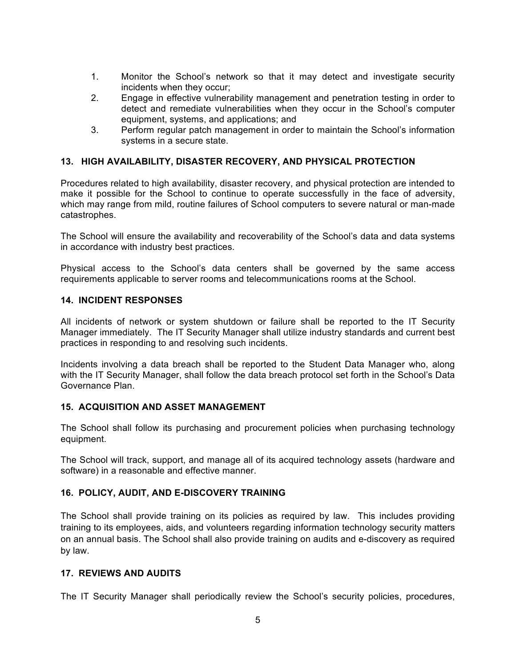- 1. Monitor the School's network so that it may detect and investigate security incidents when they occur;
- 2. Engage in effective vulnerability management and penetration testing in order to detect and remediate vulnerabilities when they occur in the School's computer equipment, systems, and applications; and
- 3. Perform regular patch management in order to maintain the School's information systems in a secure state.

#### **13. HIGH AVAILABILITY, DISASTER RECOVERY, AND PHYSICAL PROTECTION**

Procedures related to high availability, disaster recovery, and physical protection are intended to make it possible for the School to continue to operate successfully in the face of adversity, which may range from mild, routine failures of School computers to severe natural or man-made catastrophes.

The School will ensure the availability and recoverability of the School's data and data systems in accordance with industry best practices.

Physical access to the School's data centers shall be governed by the same access requirements applicable to server rooms and telecommunications rooms at the School.

#### **14. INCIDENT RESPONSES**

All incidents of network or system shutdown or failure shall be reported to the IT Security Manager immediately. The IT Security Manager shall utilize industry standards and current best practices in responding to and resolving such incidents.

Incidents involving a data breach shall be reported to the Student Data Manager who, along with the IT Security Manager, shall follow the data breach protocol set forth in the School's Data Governance Plan.

#### **15. ACQUISITION AND ASSET MANAGEMENT**

The School shall follow its purchasing and procurement policies when purchasing technology equipment.

The School will track, support, and manage all of its acquired technology assets (hardware and software) in a reasonable and effective manner.

#### **16. POLICY, AUDIT, AND E-DISCOVERY TRAINING**

The School shall provide training on its policies as required by law. This includes providing training to its employees, aids, and volunteers regarding information technology security matters on an annual basis. The School shall also provide training on audits and e-discovery as required by law.

#### **17. REVIEWS AND AUDITS**

The IT Security Manager shall periodically review the School's security policies, procedures,